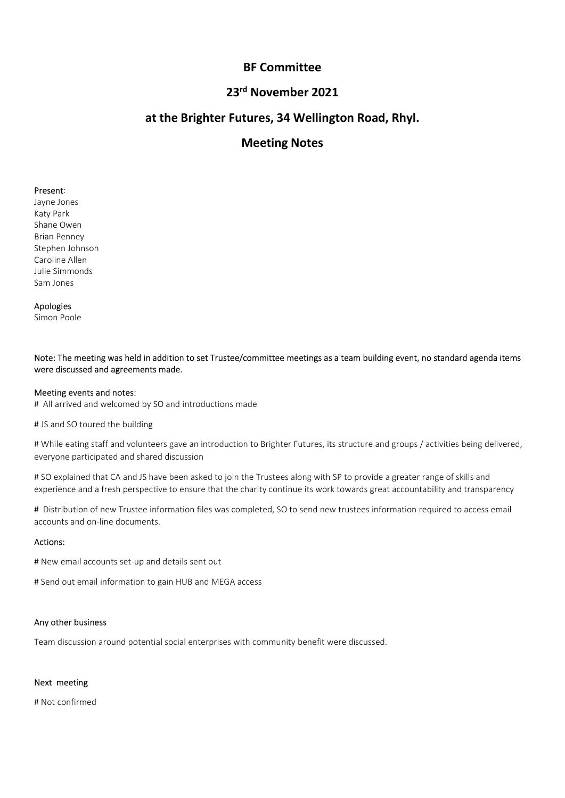# BF Committee<br><sup>d</sup> November 2021<br>tures, 34 Wellington Road, Rhyl. BF Committee<br>23<sup>rd</sup> November 2021<br>Futures, 34 Wellington Road, Rhyl.<br>Meeting Notes BF Committee<br>23<sup>rd</sup> November 2021<br>at the Brighter Futures, 34 Wellington Road, Rhyl.<br>Meeting Notes BF Committee<br><sup>d</sup> November 2021<br>tures, 34 Wellington Road, Rhyl.<br>Meeting Notes

**BF Committee<br>
23<sup>rd</sup> November 2021<br>
at the Brighter Futures, 34 Wellington Represent:<br>
Present:<br>
Present:<br>
Present:<br>
Present:<br>
Present:<br>
Starp Park<br>
Starp Park<br>
Brian Penney<br>
Stephen Johnson<br>
Stephen Johnson<br>
Ullie Simmon BF Committee<br>
23<sup>rd</sup> November 2021**<br> **at the Brighter Futures, 34 Wellington R**<br> **Meeting Notes**<br>
Ark Park<br>
Asty Park<br>
Shane Owen<br>
Staphen Johnson<br>
Staphen Johnson<br>
Caroline Allen<br>
Caroline Allen<br>
Caroline Allen **BF Committee<br>
23<sup>rd</sup> November 2021**<br> **at the Brighter Futures, 34 Wellington Ro<br>
Meeting Notes<br>
Present:<br>
Alay Park<br>
Shane Owen<br>
Brian Penney<br>
Brian Penney<br>
Brian Penney<br>
Staphen Johnson<br>
Caroline Allen<br>
Caroline Allen<br>
S BF Committee<br>
23<sup>rd</sup> November 2021**<br> **at the Brighter Futures, 34 Wellington Represent:**<br> **Meeting Notes**<br>
Present:<br>
Brian Ponney<br>
Stap Park<br>
Brian Penney<br>
Stephen Johnson<br>
Stephen Johnson<br>
Julie Simmons<br>
Sam Jones<br>
Sam J **BF Committee<br>
23<sup>rd</sup> November 2021**<br> **at the Brighter Futures, 34 Wellington Roa**<br> **Meeting Notes**<br>
Present:<br>
Present:<br>
Staty Park<br>
Shane Owen<br>
Staty Park<br>
Shane Owen<br>
Staty Park<br>
Shane Owen<br>
Staty Park<br>
Staty Park<br>
Staty **BF Committee<br>
23<sup>rd</sup> November 2021**<br> **at the Brighter Futures, 34 Wellington Roa**<br> **Meeting Notes**<br>
Present:<br>
Alayne Jones<br>
Present<br>
Staphen Johnson<br>
Stan Penney<br>
Brian Penney<br>
Staphen Johnson<br>
Caroline Allen<br>
Alphison<br>
A **BF Committee<br>
23<sup>rd</sup> November 2021**<br> **at the Brighter Futures, 34 Wellington R**<br> **Meeting Notes**<br>
Present:<br>
Jayne Jones<br>
Riap Park<br>
Katy Park<br>
Bian e wen<br>
Bian Penney<br>
Stephen Johnson<br>
Stephen Johnson<br>
Julie Simmonds<br>
Sam **BF Committee<br>
23<sup>rd</sup> November 2021**<br> **at the Brighter Futures, 34 Wellington R**<br> **Meeting Notes**<br>
Present:<br>
Starty Park<br>
Shane Owen<br>
Shape Doms<br>
Starty Park<br>
Shape Owen<br>
Starty Park<br>
Starty Park<br>
Starty Park<br>
Starty Park<br>

## Apologies

# 23<sup>rd</sup> November 2021<br>
at the Brighter Futures, 34 Wellington Ro<br>
Meeting Notes<br>
Present:<br>
Present:<br>
Starty Park<br>
Shane Owen<br>
Shan Penery<br>
Stephen Johnson<br>
Caroline Allen<br>
Starphen Johnson<br>
Caroline Allen<br>
Sham Dones<br>
Apolo Motes:<br>Notes: The meeting was held in addition to set Trustee/committee meetings as a team building event, no standard agenda items<br>Share Owen<br>Staples (Righer Johnson<br>Apologies<br>Apologies<br>Note: The meeting was held in addit **Meeting Notes**<br>Present:<br>Jayne Jones<br>Share Owen<br>Stan Penney<br>Stan Penney<br>Share Owen<br>Caroline Allen<br>Caroline Allen<br>Apologies<br>Apologies<br>Note: The meeting was held in addition to set Trustee/committee meetings as a team buildi

**Present:**<br>Jayne Jones<br>Marie Owen<br>Brian Penney<br>Starpen Johnson<br>Caroline Allen<br>Apologies<br>Apologies<br>Mote: The meeting was held in addition to set Trustee/committee meetings as a team building event,<br>Meeting events and notes: **Present:**<br>May Park<br>Shane Owen<br>Shane Owen<br>Shane Owen<br>Caroline Allen<br>Shane Owen<br>Shane Owen<br>Shane Owen<br>Shane Owen<br>Shane Owen and welcomed by SO and introductions made<br>Meeting events and notes:<br># All arrived and welcomed by S **Present:**<br> **Present:**<br>
Say Park<br>
Share Owen<br>
Share Owen<br>
Share Owen<br>
Stephen Johnson<br>
Dulle Simmonds<br> **Apologies**<br> **Apologies**<br> **Apologies<br>
Music Simmonds<br>
<b>Apologies**<br> **Modogies**<br> **Modogies**<br> **Modogies**<br> **Modogies**<br> **Mod** Key Park<br>Shane Owen<br>Shane Owen<br>Samilous Samilouson<br>Samilous Samilouson<br>Samilouson Poole<br>Samilouson Poole<br>Note: The meeting was held in addition to set Trustee/committee meetings as a team building event, no standard agenda Shane Owen<br>
Shane Penney<br>
Brian Penney<br>
Stephen Johnson<br>
Scephen Johnson<br>
Shar Jones<br>
Shar Jones<br>
Shar Jones<br>
Motel: The meetling was held in addition to set Trustee/committee meetings as a team building event, no standard univeline.<br>Nachine Alemanois<br>Sam iones<br>Apologies<br>Sam iones<br>Sam iones<br>Sam iones<br>Sam iones<br>Sam are discussed and agreements made.<br>More discussed and agreements made.<br>More discussed and agreements made.<br>Moreover participated experience and a fresh perspective to ensure that the charity completes, so at each building event, no standard agenda items<br>Sam Jones<br>Model perspective to ensure the charge of the charge of the charge of the charge of the Line alternoon<br>Samillones<br>Samillones<br>Hotel: The meeting was held in addition to set Trustee/committee meetings as a team bullding event, no standard agenda items<br>were discussed and agreements made.<br>Meeting events and note sam some<br>**Apologies**<br>**Apologies**<br>**Note: The meeting was held in addition to set Trustee/committee meetings as a team building event, n<br><b>Note: The meeting was held in addition to set Trustee/committee meetings as a team bui** Note: The meeting was held in addition to set Trustee/committee meetings as a team building event, no standard agenda item<br>were discussed and agreements made.<br>Meeting events and notes:<br>Mesting events and notes:<br># All arivi Note: The meeting was held in addition to set Trustee/committee meetings as a team building event, no standard agenda items<br>were discussed and agreements made.<br>Meeting events and notes:<br>All a arrists and stock out email to **Meeting events and notes:**<br>
If All arrived and welcomed by SO and introductions made<br>
If All arrived and welcomed by SO and introductions made<br>
If JS and SO toured the building<br>
If While eating staff and volunteers gave a m Ani arrives and we commen by Solarin more ductions made<br>
at JS and SO toured the building<br>
at While exting starf and volunteers gave an introduction to Brighter Futures, its structure and groups / activities being delive

# While eating start and vounteers gave an introduction to brighter Futures, its structure<br>everyone participated and shared discussion<br># SO explained that CA and JS have been asked to join the Trustees along with SP to pr # SO explained that CA and JS have been asked to join the Trustees along with SP to proexperience and a fresh perspective to ensure that the charity continue its work towards<br># Distribution of new Trustee information files

## Actions: